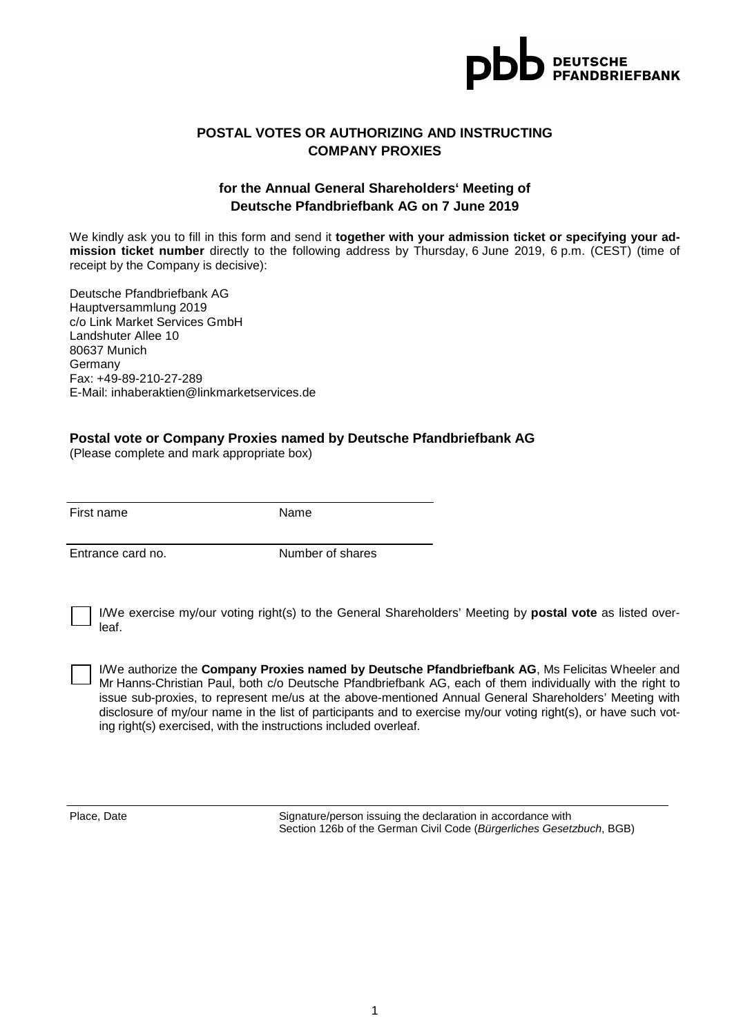

#### **POSTAL VOTES OR AUTHORIZING AND INSTRUCTING COMPANY PROXIES**

## **for the Annual General Shareholders' Meeting of Deutsche Pfandbriefbank AG on 7 June 2019**

We kindly ask you to fill in this form and send it **together with your admission ticket or specifying your admission ticket number** directly to the following address by Thursday, 6 June 2019, 6 p.m. (CEST) (time of receipt by the Company is decisive):

Deutsche Pfandbriefbank AG Hauptversammlung 2019 c/o Link Market Services GmbH Landshuter Allee 10 80637 Munich Germany Fax: +49-89-210-27-289 E-Mail: inhaberaktien@linkmarketservices.de

#### **Postal vote or Company Proxies named by Deutsche Pfandbriefbank AG**

(Please complete and mark appropriate box)

First name Name

Entrance card no. Number of shares

I/We exercise my/our voting right(s) to the General Shareholders' Meeting by **postal vote** as listed overleaf.

I/We authorize the **Company Proxies named by Deutsche Pfandbriefbank AG**, Ms Felicitas Wheeler and Mr Hanns-Christian Paul, both c/o Deutsche Pfandbriefbank AG, each of them individually with the right to issue sub-proxies, to represent me/us at the above-mentioned Annual General Shareholders' Meeting with disclosure of my/our name in the list of participants and to exercise my/our voting right(s), or have such voting right(s) exercised, with the instructions included overleaf.

Place, Date Signature/person issuing the declaration in accordance with Section 126b of the German Civil Code (Bürgerliches Gesetzbuch, BGB)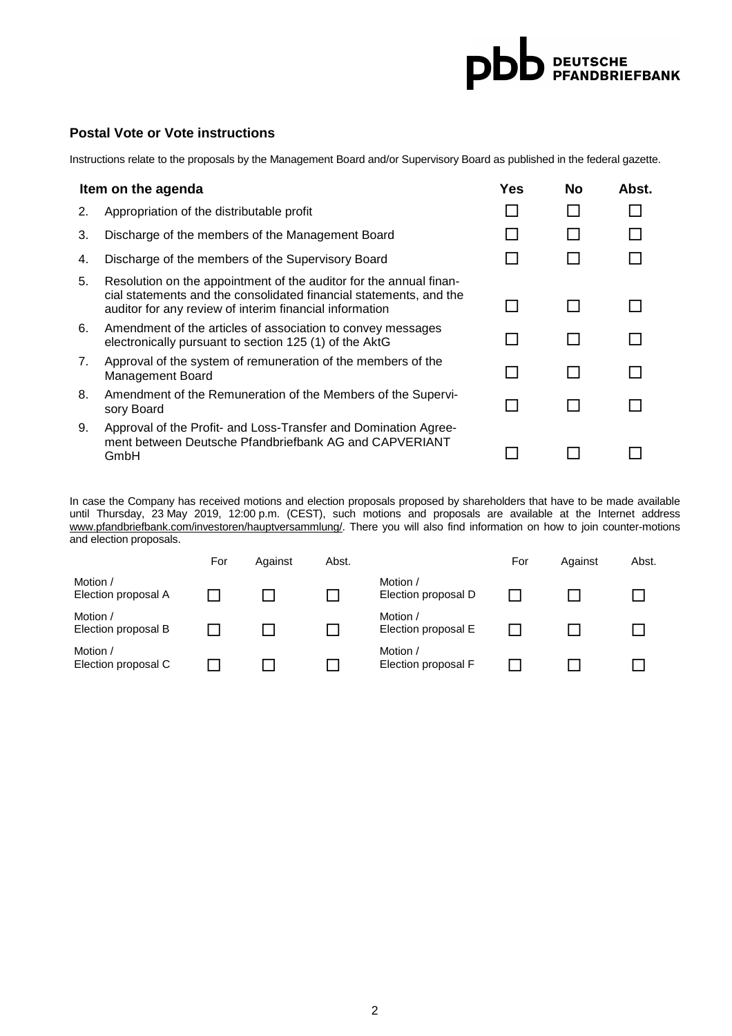# **DEUTSCHE**<br>PEANDBRIEFBANK pbl

#### **Postal Vote or Vote instructions**

Instructions relate to the proposals by the Management Board and/or Supervisory Board as published in the federal gazette.

| Item on the agenda |                                                                                                                                                                                                     |  | No | Abst. |
|--------------------|-----------------------------------------------------------------------------------------------------------------------------------------------------------------------------------------------------|--|----|-------|
| 2.                 | Appropriation of the distributable profit                                                                                                                                                           |  |    |       |
| 3.                 | Discharge of the members of the Management Board                                                                                                                                                    |  |    |       |
| 4.                 | Discharge of the members of the Supervisory Board                                                                                                                                                   |  |    |       |
| 5.                 | Resolution on the appointment of the auditor for the annual finan-<br>cial statements and the consolidated financial statements, and the<br>auditor for any review of interim financial information |  |    |       |
| 6.                 | Amendment of the articles of association to convey messages<br>electronically pursuant to section 125 (1) of the AktG                                                                               |  |    |       |
| 7.                 | Approval of the system of remuneration of the members of the<br><b>Management Board</b>                                                                                                             |  |    |       |
| 8.                 | Amendment of the Remuneration of the Members of the Supervi-<br>sory Board                                                                                                                          |  |    |       |
| 9.                 | Approval of the Profit- and Loss-Transfer and Domination Agree-<br>ment between Deutsche Pfandbriefbank AG and CAPVERIANT<br>GmbH                                                                   |  |    |       |

In case the Company has received motions and election proposals proposed by shareholders that have to be made available until Thursday, 23 May 2019, 12:00 p.m. (CEST), such motions and proposals are available at the Internet address www.pfandbriefbank.com/investoren/hauptversammlung/. There you will also find information on how to join counter-motions and election proposals.

|                                 | For | Against | Abst. |                                 | For | Against | Abst. |
|---------------------------------|-----|---------|-------|---------------------------------|-----|---------|-------|
| Motion /<br>Election proposal A |     |         |       | Motion /<br>Election proposal D |     |         |       |
| Motion /<br>Election proposal B |     |         |       | Motion /<br>Election proposal E |     |         |       |
| Motion /<br>Election proposal C |     |         |       | Motion /<br>Election proposal F |     |         |       |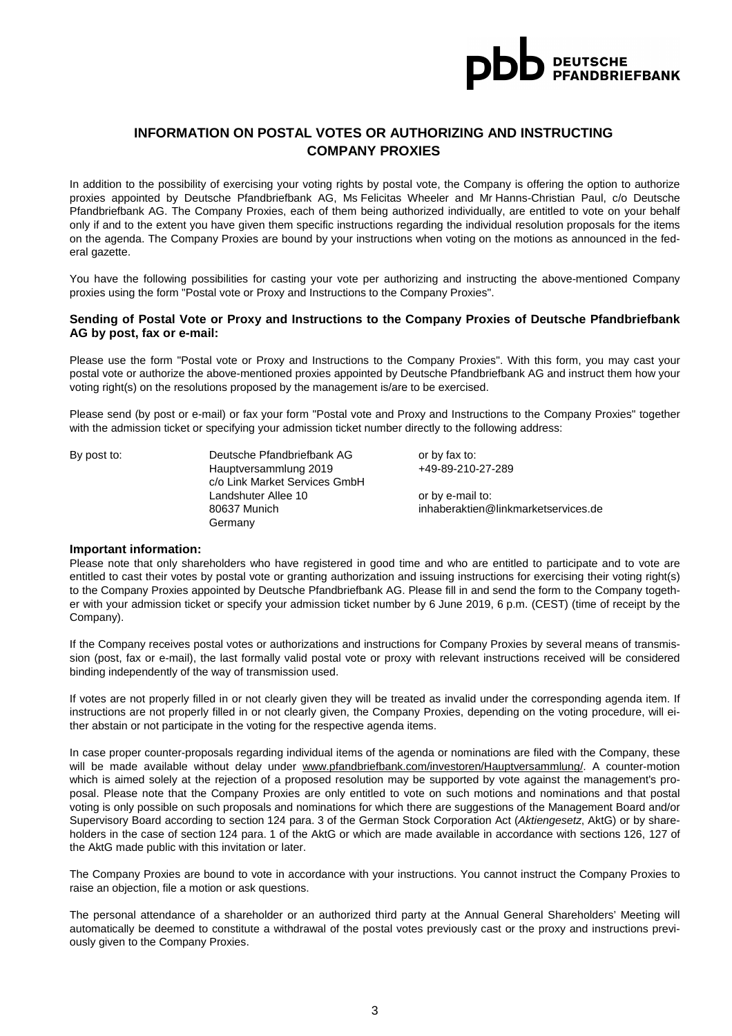

## **INFORMATION ON POSTAL VOTES OR AUTHORIZING AND INSTRUCTING COMPANY PROXIES**

In addition to the possibility of exercising your voting rights by postal vote, the Company is offering the option to authorize proxies appointed by Deutsche Pfandbriefbank AG, Ms Felicitas Wheeler and Mr Hanns-Christian Paul, c/o Deutsche Pfandbriefbank AG. The Company Proxies, each of them being authorized individually, are entitled to vote on your behalf only if and to the extent you have given them specific instructions regarding the individual resolution proposals for the items on the agenda. The Company Proxies are bound by your instructions when voting on the motions as announced in the federal gazette.

You have the following possibilities for casting your vote per authorizing and instructing the above-mentioned Company proxies using the form "Postal vote or Proxy and Instructions to the Company Proxies".

#### **Sending of Postal Vote or Proxy and Instructions to the Company Proxies of Deutsche Pfandbriefbank AG by post, fax or e-mail:**

Please use the form "Postal vote or Proxy and Instructions to the Company Proxies". With this form, you may cast your postal vote or authorize the above-mentioned proxies appointed by Deutsche Pfandbriefbank AG and instruct them how your voting right(s) on the resolutions proposed by the management is/are to be exercised.

Please send (by post or e-mail) or fax your form "Postal vote and Proxy and Instructions to the Company Proxies" together with the admission ticket or specifying your admission ticket number directly to the following address:

By post to: Deutsche Pfandbriefbank AG or by fax to: Hauptversammlung 2019 +49-89-210-27-289 c/o Link Market Services GmbH Landshuter Allee 10 or by e-mail to: **Germany** 

80637 Munich inhaberaktien@linkmarketservices.de

#### **Important information:**

Please note that only shareholders who have registered in good time and who are entitled to participate and to vote are entitled to cast their votes by postal vote or granting authorization and issuing instructions for exercising their voting right(s) to the Company Proxies appointed by Deutsche Pfandbriefbank AG. Please fill in and send the form to the Company together with your admission ticket or specify your admission ticket number by 6 June 2019, 6 p.m. (CEST) (time of receipt by the Company).

If the Company receives postal votes or authorizations and instructions for Company Proxies by several means of transmission (post, fax or e-mail), the last formally valid postal vote or proxy with relevant instructions received will be considered binding independently of the way of transmission used.

If votes are not properly filled in or not clearly given they will be treated as invalid under the corresponding agenda item. If instructions are not properly filled in or not clearly given, the Company Proxies, depending on the voting procedure, will either abstain or not participate in the voting for the respective agenda items.

In case proper counter-proposals regarding individual items of the agenda or nominations are filed with the Company, these will be made available without delay under www.pfandbriefbank.com/investoren/Hauptversammlung/. A counter-motion which is aimed solely at the rejection of a proposed resolution may be supported by vote against the management's proposal. Please note that the Company Proxies are only entitled to vote on such motions and nominations and that postal voting is only possible on such proposals and nominations for which there are suggestions of the Management Board and/or Supervisory Board according to section 124 para. 3 of the German Stock Corporation Act (Aktiengesetz, AktG) or by shareholders in the case of section 124 para. 1 of the AktG or which are made available in accordance with sections 126, 127 of the AktG made public with this invitation or later.

The Company Proxies are bound to vote in accordance with your instructions. You cannot instruct the Company Proxies to raise an objection, file a motion or ask questions.

The personal attendance of a shareholder or an authorized third party at the Annual General Shareholders' Meeting will automatically be deemed to constitute a withdrawal of the postal votes previously cast or the proxy and instructions previously given to the Company Proxies.